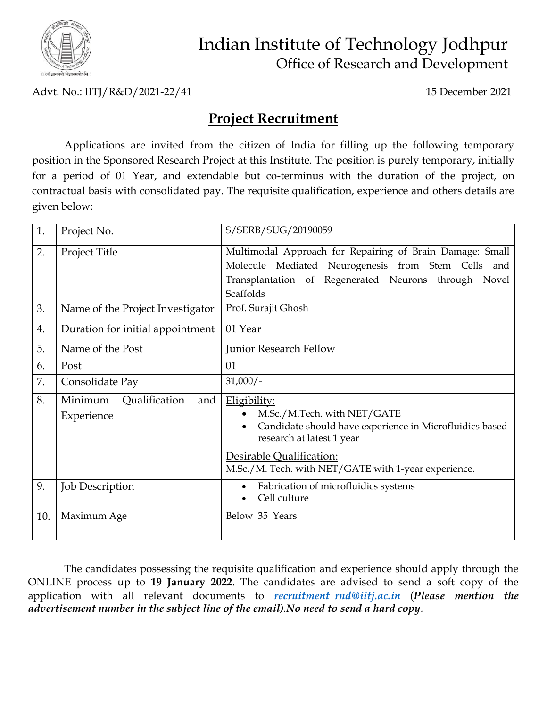

## Indian Institute of Technology Jodhpur Office of Research and Development

Advt. No.: IITJ/R&D/2021-22/41 15 December 2021

## **Project Recruitment**

Applications are invited from the citizen of India for filling up the following temporary position in the Sponsored Research Project at this Institute. The position is purely temporary, initially for a period of 01 Year, and extendable but co-terminus with the duration of the project, on contractual basis with consolidated pay. The requisite qualification, experience and others details are given below:

| 1.  | Project No.                                   | S/SERB/SUG/20190059                                                                                                                                                                                                     |
|-----|-----------------------------------------------|-------------------------------------------------------------------------------------------------------------------------------------------------------------------------------------------------------------------------|
| 2.  | Project Title                                 | Multimodal Approach for Repairing of Brain Damage: Small<br>Molecule Mediated Neurogenesis from Stem Cells and<br>Transplantation of Regenerated Neurons through Novel<br>Scaffolds                                     |
| 3.  | Name of the Project Investigator              | Prof. Surajit Ghosh                                                                                                                                                                                                     |
| 4.  | Duration for initial appointment              | 01 Year                                                                                                                                                                                                                 |
| 5.  | Name of the Post                              | Junior Research Fellow                                                                                                                                                                                                  |
| 6.  | Post                                          | 01                                                                                                                                                                                                                      |
| 7.  | Consolidate Pay                               | $31,000/-$                                                                                                                                                                                                              |
| 8.  | Minimum<br>Qualification<br>and<br>Experience | Eligibility:<br>M.Sc./M.Tech. with NET/GATE<br>Candidate should have experience in Microfluidics based<br>research at latest 1 year<br>Desirable Qualification:<br>M.Sc./M. Tech. with NET/GATE with 1-year experience. |
| 9.  | <b>Job Description</b>                        | Fabrication of microfluidics systems<br>Cell culture                                                                                                                                                                    |
| 10. | Maximum Age                                   | Below 35 Years                                                                                                                                                                                                          |

The candidates possessing the requisite qualification and experience should apply through the ONLINE process up to **19 January 2022**. The candidates are advised to send a soft copy of the application with all relevant documents to *[recruitment\\_rnd@iitj.ac.in](mailto:recruitment_rnd@iitj.ac.in)* (*Please mention the advertisement number in the subject line of the email).No need to send a hard copy.*